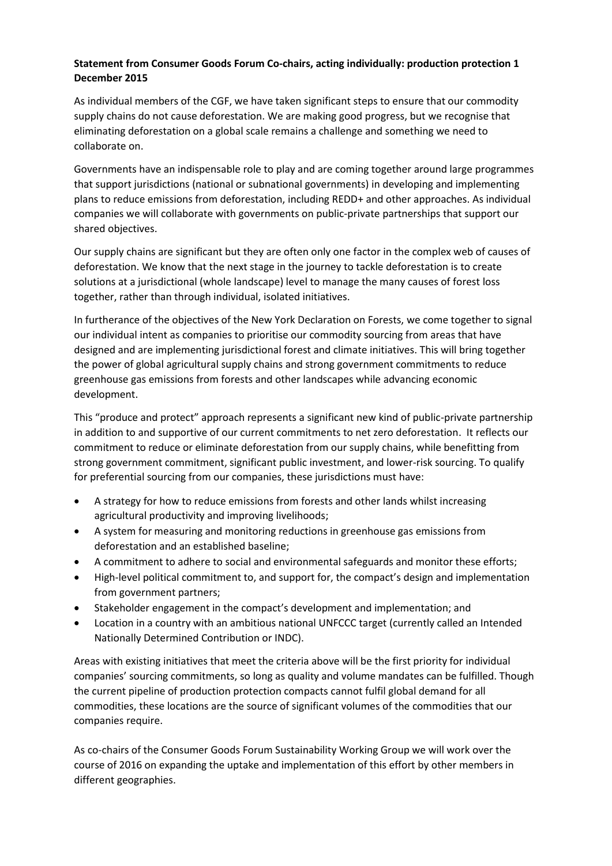## **Statement from Consumer Goods Forum Co-chairs, acting individually: production protection 1 December 2015**

As individual members of the CGF, we have taken significant steps to ensure that our commodity supply chains do not cause deforestation. We are making good progress, but we recognise that eliminating deforestation on a global scale remains a challenge and something we need to collaborate on.

Governments have an indispensable role to play and are coming together around large programmes that support jurisdictions (national or subnational governments) in developing and implementing plans to reduce emissions from deforestation, including REDD+ and other approaches. As individual companies we will collaborate with governments on public-private partnerships that support our shared objectives.

Our supply chains are significant but they are often only one factor in the complex web of causes of deforestation. We know that the next stage in the journey to tackle deforestation is to create solutions at a jurisdictional (whole landscape) level to manage the many causes of forest loss together, rather than through individual, isolated initiatives.

In furtherance of the objectives of the New York Declaration on Forests, we come together to signal our individual intent as companies to prioritise our commodity sourcing from areas that have designed and are implementing jurisdictional forest and climate initiatives. This will bring together the power of global agricultural supply chains and strong government commitments to reduce greenhouse gas emissions from forests and other landscapes while advancing economic development.

This "produce and protect" approach represents a significant new kind of public-private partnership in addition to and supportive of our current commitments to net zero deforestation. It reflects our commitment to reduce or eliminate deforestation from our supply chains, while benefitting from strong government commitment, significant public investment, and lower-risk sourcing. To qualify for preferential sourcing from our companies, these jurisdictions must have:

- A strategy for how to reduce emissions from forests and other lands whilst increasing agricultural productivity and improving livelihoods;
- A system for measuring and monitoring reductions in greenhouse gas emissions from deforestation and an established baseline;
- A commitment to adhere to social and environmental safeguards and monitor these efforts;
- High-level political commitment to, and support for, the compact's design and implementation from government partners;
- Stakeholder engagement in the compact's development and implementation; and
- Location in a country with an ambitious national UNFCCC target (currently called an Intended Nationally Determined Contribution or INDC).

Areas with existing initiatives that meet the criteria above will be the first priority for individual companies' sourcing commitments, so long as quality and volume mandates can be fulfilled. Though the current pipeline of production protection compacts cannot fulfil global demand for all commodities, these locations are the source of significant volumes of the commodities that our companies require.

As co-chairs of the Consumer Goods Forum Sustainability Working Group we will work over the course of 2016 on expanding the uptake and implementation of this effort by other members in different geographies.